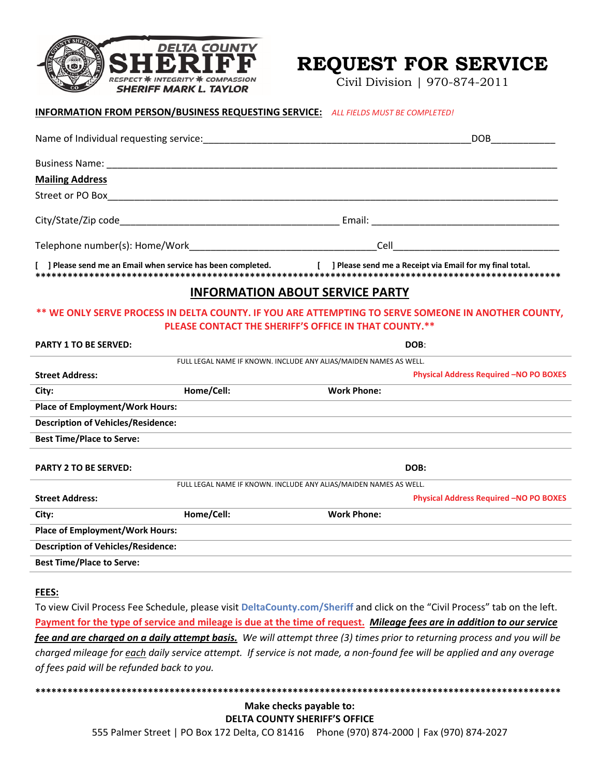

# **REQUEST FOR SERVICE**

Civil Division | 970-874-2011

|                                                                                                                                                              |            | <b>INFORMATION FROM PERSON/BUSINESS REQUESTING SERVICE:</b> ALL FIELDS MUST BE COMPLETED! |                                               |  |  |
|--------------------------------------------------------------------------------------------------------------------------------------------------------------|------------|-------------------------------------------------------------------------------------------|-----------------------------------------------|--|--|
|                                                                                                                                                              |            |                                                                                           | DOB <b>DOB</b>                                |  |  |
|                                                                                                                                                              |            |                                                                                           |                                               |  |  |
| <b>Mailing Address</b>                                                                                                                                       |            |                                                                                           |                                               |  |  |
|                                                                                                                                                              |            |                                                                                           |                                               |  |  |
|                                                                                                                                                              |            |                                                                                           |                                               |  |  |
|                                                                                                                                                              |            |                                                                                           |                                               |  |  |
| ] Please send me an Email when service has been completed. [ ] Please send me a Receipt via Email for my final total.                                        |            |                                                                                           |                                               |  |  |
| <b>INFORMATION ABOUT SERVICE PARTY</b>                                                                                                                       |            |                                                                                           |                                               |  |  |
| ** WE ONLY SERVE PROCESS IN DELTA COUNTY. IF YOU ARE ATTEMPTING TO SERVE SOMEONE IN ANOTHER COUNTY,<br>PLEASE CONTACT THE SHERIFF'S OFFICE IN THAT COUNTY.** |            |                                                                                           |                                               |  |  |
| <b>PARTY 1 TO BE SERVED:</b>                                                                                                                                 |            | DOB:                                                                                      |                                               |  |  |
|                                                                                                                                                              |            | FULL LEGAL NAME IF KNOWN. INCLUDE ANY ALIAS/MAIDEN NAMES AS WELL.                         |                                               |  |  |
| <b>Street Address:</b>                                                                                                                                       |            |                                                                                           | <b>Physical Address Required -NO PO BOXES</b> |  |  |
| City:                                                                                                                                                        | Home/Cell: | <b>Work Phone:</b>                                                                        |                                               |  |  |
| <b>Place of Employment/Work Hours:</b>                                                                                                                       |            |                                                                                           |                                               |  |  |
| <b>Description of Vehicles/Residence:</b>                                                                                                                    |            |                                                                                           |                                               |  |  |
| <b>Best Time/Place to Serve:</b>                                                                                                                             |            |                                                                                           |                                               |  |  |
| <b>PARTY 2 TO BE SERVED:</b>                                                                                                                                 |            | DOB:                                                                                      |                                               |  |  |
| FULL LEGAL NAME IF KNOWN. INCLUDE ANY ALIAS/MAIDEN NAMES AS WELL.                                                                                            |            |                                                                                           |                                               |  |  |
| <b>Street Address:</b>                                                                                                                                       |            |                                                                                           | <b>Physical Address Required -NO PO BOXES</b> |  |  |
| City:                                                                                                                                                        | Home/Cell: | <b>Work Phone:</b>                                                                        |                                               |  |  |
| <b>Place of Employment/Work Hours:</b>                                                                                                                       |            |                                                                                           |                                               |  |  |
| <b>Description of Vehicles/Residence:</b>                                                                                                                    |            |                                                                                           |                                               |  |  |
| <b>Best Time/Place to Serve:</b>                                                                                                                             |            |                                                                                           |                                               |  |  |
|                                                                                                                                                              |            |                                                                                           |                                               |  |  |

#### **FEES:**

To view Civil Process Fee Schedule, please visit **DeltaCounty.com/Sheriff** and click on the "Civil Process" tab on the left. Payment for the type of service and mileage is due at the time of request. Mileage fees are in addition to our service fee and are charged on a daily attempt basis. We will attempt three (3) times prior to returning process and you will be charged mileage for each daily service attempt. If service is not made, a non-found fee will be applied and any overage *of fees paid will be refunded back to you.*

**\*\*\*\*\*\*\*\*\*\*\*\*\*\*\*\*\*\*\*\*\*\*\*\*\*\*\*\*\*\*\*\*\*\*\*\*\*\*\*\*\*\*\*\*\*\*\*\*\*\*\*\*\*\*\*\*\*\*\*\*\*\*\*\*\*\*\*\*\*\*\*\*\*\*\*\*\*\*\*\*\*\*\*\*\*\*\*\*\*\*\*\*\*\*\*\*\*\* Make checks payable to: DELTA COUNTY SHERIFF'S OFFICE** 555 Palmer Street | PO Box 172 Delta, CO 81416 Phone (970) 874‐2000 | Fax (970) 874‐2027